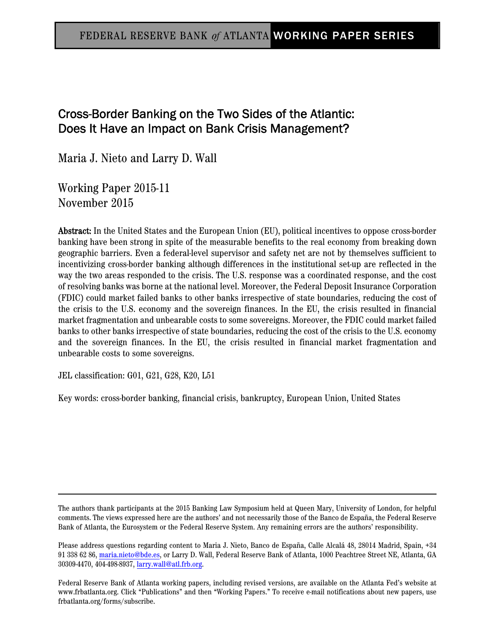# Cross-Border Banking on the Two Sides of the Atlantic: Does It Have an Impact on Bank Crisis Management?

Maria J. Nieto and Larry D. Wall

Working Paper 2015-11 November 2015

Abstract: In the United States and the European Union (EU), political incentives to oppose cross-border banking have been strong in spite of the measurable benefits to the real economy from breaking down geographic barriers. Even a federal-level supervisor and safety net are not by themselves sufficient to incentivizing cross-border banking although differences in the institutional set-up are reflected in the way the two areas responded to the crisis. The U.S. response was a coordinated response, and the cost of resolving banks was borne at the national level. Moreover, the Federal Deposit Insurance Corporation (FDIC) could market failed banks to other banks irrespective of state boundaries, reducing the cost of the crisis to the U.S. economy and the sovereign finances. In the EU, the crisis resulted in financial market fragmentation and unbearable costs to some sovereigns. Moreover, the FDIC could market failed banks to other banks irrespective of state boundaries, reducing the cost of the crisis to the U.S. economy and the sovereign finances. In the EU, the crisis resulted in financial market fragmentation and unbearable costs to some sovereigns.

JEL classification: G01, G21, G28, K20, L51

Key words: cross-border banking, financial crisis, bankruptcy, European Union, United States

The authors thank participants at the 2015 Banking Law Symposium held at Queen Mary, University of London, for helpful comments. The views expressed here are the authors' and not necessarily those of the Banco de España, the Federal Reserve Bank of Atlanta, the Eurosystem or the Federal Reserve System. Any remaining errors are the authors' responsibility.

Please address questions regarding content to Maria J. Nieto, Banco de España, Calle Alcalá 48, 28014 Madrid, Spain, +34 91 338 62 86, maria.nieto@bde.es, or Larry D. Wall, Federal Reserve Bank of Atlanta, 1000 Peachtree Street NE, Atlanta, GA 30309-4470, 404-498-8937, larry.wall@atl.frb.org.

Federal Reserve Bank of Atlanta working papers, including revised versions, are available on the Atlanta Fed's website at www.frbatlanta.org. Click "Publications" and then "Working Papers." To receive e-mail notifications about new papers, use frbatlanta.org/forms/subscribe.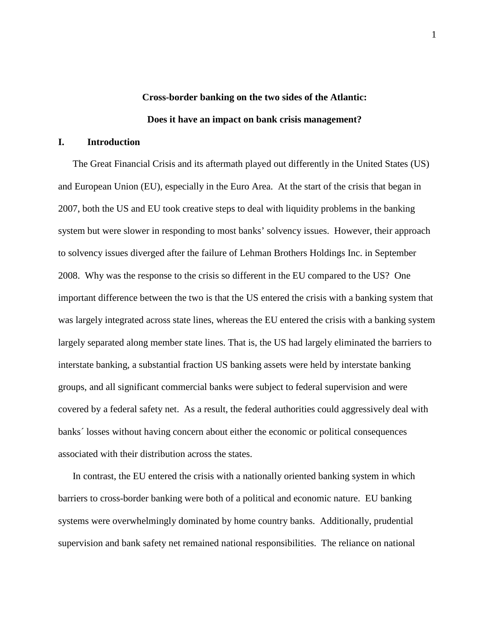# **Cross-border banking on the two sides of the Atlantic: Does it have an impact on bank crisis management?**

### **I. Introduction**

The Great Financial Crisis and its aftermath played out differently in the United States (US) and European Union (EU), especially in the Euro Area. At the start of the crisis that began in 2007, both the US and EU took creative steps to deal with liquidity problems in the banking system but were slower in responding to most banks' solvency issues. However, their approach to solvency issues diverged after the failure of Lehman Brothers Holdings Inc. in September 2008. Why was the response to the crisis so different in the EU compared to the US? One important difference between the two is that the US entered the crisis with a banking system that was largely integrated across state lines, whereas the EU entered the crisis with a banking system largely separated along member state lines. That is, the US had largely eliminated the barriers to interstate banking, a substantial fraction US banking assets were held by interstate banking groups, and all significant commercial banks were subject to federal supervision and were covered by a federal safety net. As a result, the federal authorities could aggressively deal with banks´ losses without having concern about either the economic or political consequences associated with their distribution across the states.

In contrast, the EU entered the crisis with a nationally oriented banking system in which barriers to cross-border banking were both of a political and economic nature. EU banking systems were overwhelmingly dominated by home country banks. Additionally, prudential supervision and bank safety net remained national responsibilities. The reliance on national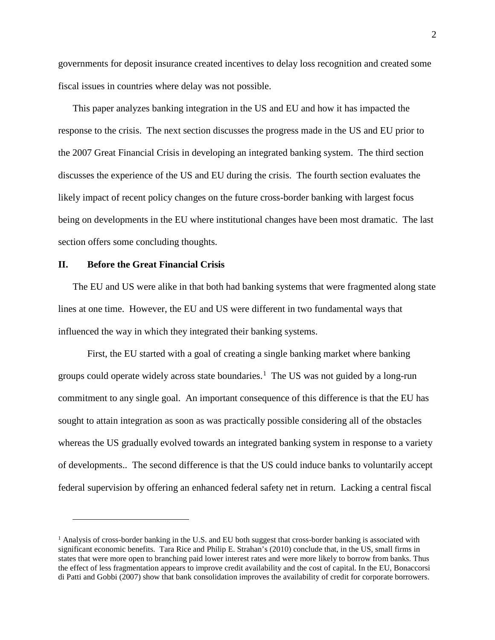governments for deposit insurance created incentives to delay loss recognition and created some fiscal issues in countries where delay was not possible.

This paper analyzes banking integration in the US and EU and how it has impacted the response to the crisis. The next section discusses the progress made in the US and EU prior to the 2007 Great Financial Crisis in developing an integrated banking system. The third section discusses the experience of the US and EU during the crisis. The fourth section evaluates the likely impact of recent policy changes on the future cross-border banking with largest focus being on developments in the EU where institutional changes have been most dramatic. The last section offers some concluding thoughts.

### **II. Before the Great Financial Crisis**

 $\overline{a}$ 

The EU and US were alike in that both had banking systems that were fragmented along state lines at one time. However, the EU and US were different in two fundamental ways that influenced the way in which they integrated their banking systems.

First, the EU started with a goal of creating a single banking market where banking groups could operate widely across state boundaries.<sup>[1](#page-2-0)</sup> The US was not guided by a long-run commitment to any single goal. An important consequence of this difference is that the EU has sought to attain integration as soon as was practically possible considering all of the obstacles whereas the US gradually evolved towards an integrated banking system in response to a variety of developments.. The second difference is that the US could induce banks to voluntarily accept federal supervision by offering an enhanced federal safety net in return. Lacking a central fiscal

<span id="page-2-0"></span> $<sup>1</sup>$  Analysis of cross-border banking in the U.S. and EU both suggest that cross-border banking is associated with</sup> significant economic benefits. Tara Rice and Philip E. Strahan's (2010) conclude that, in the US, small firms in states that were more open to branching paid lower interest rates and were more likely to borrow from banks. Thus the effect of less fragmentation appears to improve credit availability and the cost of capital. In the EU, Bonaccorsi di Patti and Gobbi (2007) show that bank consolidation improves the availability of credit for corporate borrowers.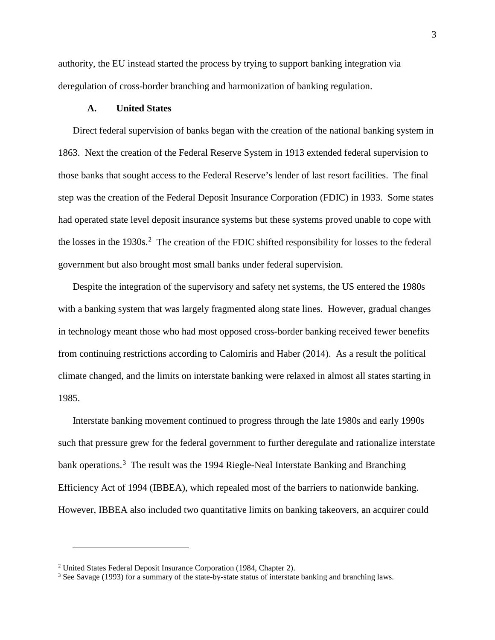authority, the EU instead started the process by trying to support banking integration via deregulation of cross-border branching and harmonization of banking regulation.

### **A. United States**

Direct federal supervision of banks began with the creation of the national banking system in 1863. Next the creation of the Federal Reserve System in 1913 extended federal supervision to those banks that sought access to the Federal Reserve's lender of last resort facilities. The final step was the creation of the Federal Deposit Insurance Corporation (FDIC) in 1933. Some states had operated state level deposit insurance systems but these systems proved unable to cope with the losses in the  $1930s$ <sup>[2](#page-3-0)</sup>. The creation of the FDIC shifted responsibility for losses to the federal government but also brought most small banks under federal supervision.

Despite the integration of the supervisory and safety net systems, the US entered the 1980s with a banking system that was largely fragmented along state lines. However, gradual changes in technology meant those who had most opposed cross-border banking received fewer benefits from continuing restrictions according to Calomiris and Haber (2014). As a result the political climate changed, and the limits on interstate banking were relaxed in almost all states starting in 1985.

Interstate banking movement continued to progress through the late 1980s and early 1990s such that pressure grew for the federal government to further deregulate and rationalize interstate bank operations.<sup>[3](#page-3-1)</sup> The result was the 1994 Riegle-Neal Interstate Banking and Branching Efficiency Act of 1994 (IBBEA), which repealed most of the barriers to nationwide banking. However, IBBEA also included two quantitative limits on banking takeovers, an acquirer could

<span id="page-3-0"></span><sup>2</sup> [United](https://www.fdic.gov/bank/analytical/firstfifty/chapter2.html) States Federal Deposit Insurance Corporation (1984, Chapter 2).

<span id="page-3-1"></span><sup>3</sup> See Savage (1993) for a summary of the state-by-state status of interstate banking and branching laws.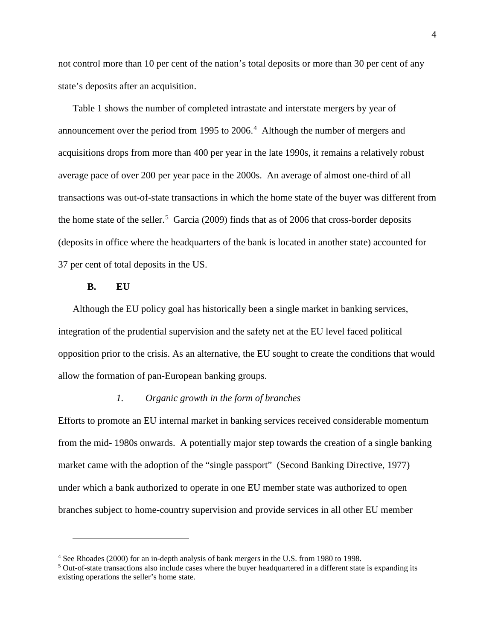not control more than 10 per cent of the nation's total deposits or more than 30 per cent of any state's deposits after an acquisition.

Table 1 shows the number of completed intrastate and interstate mergers by year of announcement over the period from 1995 to 2006. [4](#page-4-0) Although the number of mergers and acquisitions drops from more than 400 per year in the late 1990s, it remains a relatively robust average pace of over 200 per year pace in the 2000s. An average of almost one-third of all transactions was out-of-state transactions in which the home state of the buyer was different from the home state of the seller.<sup>[5](#page-4-1)</sup> Garcia (2009) finds that as of 2006 that cross-border deposits (deposits in office where the headquarters of the bank is located in another state) accounted for 37 per cent of total deposits in the US.

### **B. EU**

 $\overline{a}$ 

Although the EU policy goal has historically been a single market in banking services, integration of the prudential supervision and the safety net at the EU level faced political opposition prior to the crisis. As an alternative, the EU sought to create the conditions that would allow the formation of pan-European banking groups.

### *1. Organic growth in the form of branches*

Efforts to promote an EU internal market in banking services received considerable momentum from the mid- 1980s onwards. A potentially major step towards the creation of a single banking market came with the adoption of the "single passport" (Second Banking Directive, 1977) under which a bank authorized to operate in one EU member state was authorized to open branches subject to home-country supervision and provide services in all other EU member

<span id="page-4-0"></span><sup>4</sup> See Rhoades (2000) for an in-depth analysis of bank mergers in the U.S. from 1980 to 1998.

<span id="page-4-1"></span><sup>&</sup>lt;sup>5</sup> Out-of-state transactions also include cases where the buyer headquartered in a different state is expanding its existing operations the seller's home state.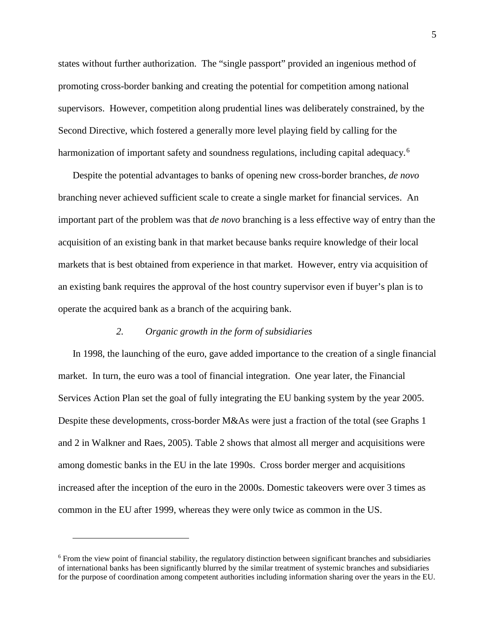states without further authorization. The "single passport" provided an ingenious method of promoting cross-border banking and creating the potential for competition among national supervisors. However, competition along prudential lines was deliberately constrained, by the Second Directive, which fostered a generally more level playing field by calling for the harmonization of important safety and soundness regulations, including capital adequacy.<sup>[6](#page-5-0)</sup>

Despite the potential advantages to banks of opening new cross-border branches, *de novo* branching never achieved sufficient scale to create a single market for financial services. An important part of the problem was that *de novo* branching is a less effective way of entry than the acquisition of an existing bank in that market because banks require knowledge of their local markets that is best obtained from experience in that market. However, entry via acquisition of an existing bank requires the approval of the host country supervisor even if buyer's plan is to operate the acquired bank as a branch of the acquiring bank.

### *2. Organic growth in the form of subsidiaries*

In 1998, the launching of the euro, gave added importance to the creation of a single financial market. In turn, the euro was a tool of financial integration. One year later, the Financial Services Action Plan set the goal of fully integrating the EU banking system by the year 2005. Despite these developments, cross-border M&As were just a fraction of the total (see Graphs 1 and 2 in Walkner and Raes, 2005). Table 2 shows that almost all merger and acquisitions were among domestic banks in the EU in the late 1990s. Cross border merger and acquisitions increased after the inception of the euro in the 2000s. Domestic takeovers were over 3 times as common in the EU after 1999, whereas they were only twice as common in the US.

<span id="page-5-0"></span><sup>6</sup> From the view point of financial stability, the regulatory distinction between significant branches and subsidiaries of international banks has been significantly blurred by the similar treatment of systemic branches and subsidiaries for the purpose of coordination among competent authorities including information sharing over the years in the EU.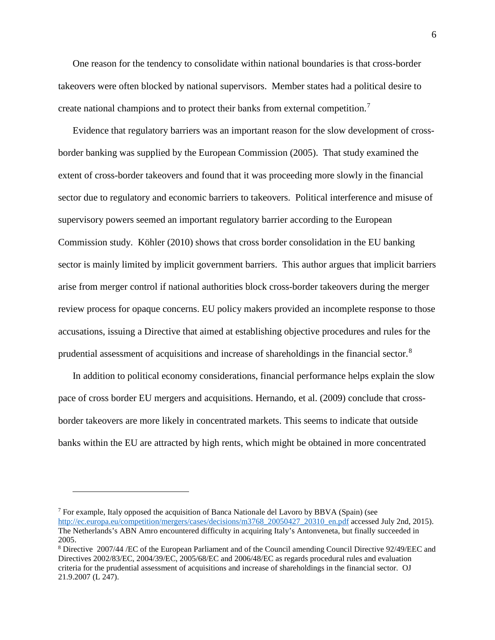One reason for the tendency to consolidate within national boundaries is that cross-border takeovers were often blocked by national supervisors. Member states had a political desire to create national champions and to protect their banks from external competition.<sup>[7](#page-6-0)</sup>

Evidence that regulatory barriers was an important reason for the slow development of crossborder banking was supplied by the European Commission (2005). That study examined the extent of cross-border takeovers and found that it was proceeding more slowly in the financial sector due to regulatory and economic barriers to takeovers. Political interference and misuse of supervisory powers seemed an important regulatory barrier according to the European Commission study. Köhler (2010) shows that cross border consolidation in the EU banking sector is mainly limited by implicit government barriers. This author argues that implicit barriers arise from merger control if national authorities block cross-border takeovers during the merger review process for opaque concerns. EU policy makers provided an incomplete response to those accusations, issuing a Directive that aimed at establishing objective procedures and rules for the prudential assessment of acquisitions and increase of shareholdings in the financial sector.<sup>[8](#page-6-1)</sup>

In addition to political economy considerations, financial performance helps explain the slow pace of cross border EU mergers and acquisitions. Hernando, et al. (2009) conclude that crossborder takeovers are more likely in concentrated markets. This seems to indicate that outside banks within the EU are attracted by high rents, which might be obtained in more concentrated

<span id="page-6-0"></span><sup>&</sup>lt;sup>7</sup> For example, Italy opposed the acquisition of Banca Nationale del Lavoro by BBVA (Spain) (see [http://ec.europa.eu/competition/mergers/cases/decisions/m3768\\_20050427\\_20310\\_en.pdf](http://ec.europa.eu/competition/mergers/cases/decisions/m3768_20050427_20310_en.pdf) accessed July 2nd, 2015). The Netherlands's ABN Amro encountered difficulty in acquiring Italy's Antonveneta, but finally succeeded in 2005.

<span id="page-6-1"></span><sup>8</sup> Directive 2007/44 /EC of the European Parliament and of the Council amending Council Directive 92/49/EEC and Directives 2002/83/EC, 2004/39/EC, 2005/68/EC and 2006/48/EC as regards procedural rules and evaluation criteria for the prudential assessment of acquisitions and increase of shareholdings in the financial sector. OJ 21.9.2007 (L 247).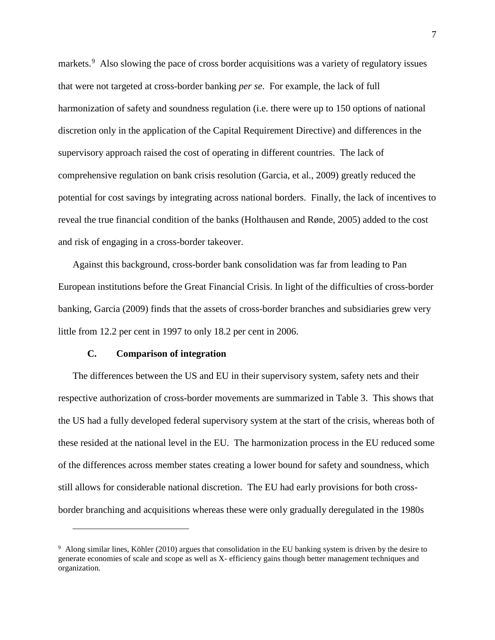markets.<sup>[9](#page-7-0)</sup> Also slowing the pace of cross border acquisitions was a variety of regulatory issues that were not targeted at cross-border banking *per se*. For example, the lack of full harmonization of safety and soundness regulation (i.e. there were up to 150 options of national discretion only in the application of the Capital Requirement Directive) and differences in the supervisory approach raised the cost of operating in different countries. The lack of comprehensive regulation on bank crisis resolution (Garcia, et al., 2009) greatly reduced the potential for cost savings by integrating across national borders. Finally, the lack of incentives to reveal the true financial condition of the banks (Holthausen and Rønde, 2005) added to the cost and risk of engaging in a cross-border takeover.

Against this background, cross-border bank consolidation was far from leading to Pan European institutions before the Great Financial Crisis. In light of the difficulties of cross-border banking, Garcia (2009) finds that the assets of cross-border branches and subsidiaries grew very little from 12.2 per cent in 1997 to only 18.2 per cent in 2006.

### **C. Comparison of integration**

 $\overline{a}$ 

The differences between the US and EU in their supervisory system, safety nets and their respective authorization of cross-border movements are summarized in Table 3. This shows that the US had a fully developed federal supervisory system at the start of the crisis, whereas both of these resided at the national level in the EU. The harmonization process in the EU reduced some of the differences across member states creating a lower bound for safety and soundness, which still allows for considerable national discretion. The EU had early provisions for both crossborder branching and acquisitions whereas these were only gradually deregulated in the 1980s

<span id="page-7-0"></span><sup>9</sup> Along similar lines, Köhler (2010) argues that consolidation in the EU banking system is driven by the desire to generate economies of scale and scope as well as X- efficiency gains though better management techniques and organization.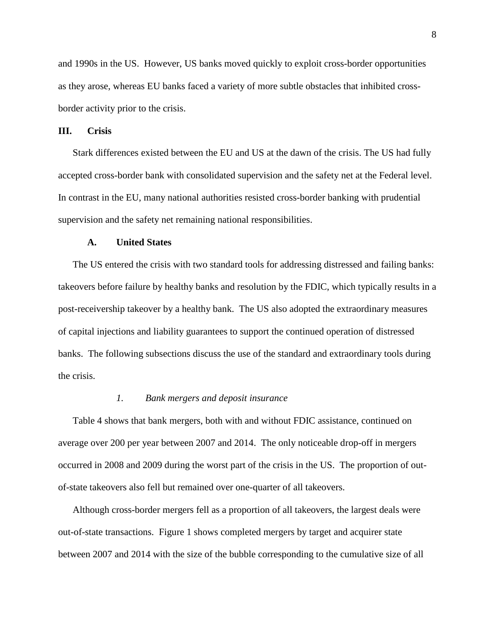and 1990s in the US. However, US banks moved quickly to exploit cross-border opportunities as they arose, whereas EU banks faced a variety of more subtle obstacles that inhibited crossborder activity prior to the crisis.

### **III. Crisis**

Stark differences existed between the EU and US at the dawn of the crisis. The US had fully accepted cross-border bank with consolidated supervision and the safety net at the Federal level. In contrast in the EU, many national authorities resisted cross-border banking with prudential supervision and the safety net remaining national responsibilities.

### **A. United States**

The US entered the crisis with two standard tools for addressing distressed and failing banks: takeovers before failure by healthy banks and resolution by the FDIC, which typically results in a post-receivership takeover by a healthy bank. The US also adopted the extraordinary measures of capital injections and liability guarantees to support the continued operation of distressed banks. The following subsections discuss the use of the standard and extraordinary tools during the crisis.

#### *1. Bank mergers and deposit insurance*

Table 4 shows that bank mergers, both with and without FDIC assistance, continued on average over 200 per year between 2007 and 2014. The only noticeable drop-off in mergers occurred in 2008 and 2009 during the worst part of the crisis in the US. The proportion of outof-state takeovers also fell but remained over one-quarter of all takeovers.

Although cross-border mergers fell as a proportion of all takeovers, the largest deals were out-of-state transactions. Figure 1 shows completed mergers by target and acquirer state between 2007 and 2014 with the size of the bubble corresponding to the cumulative size of all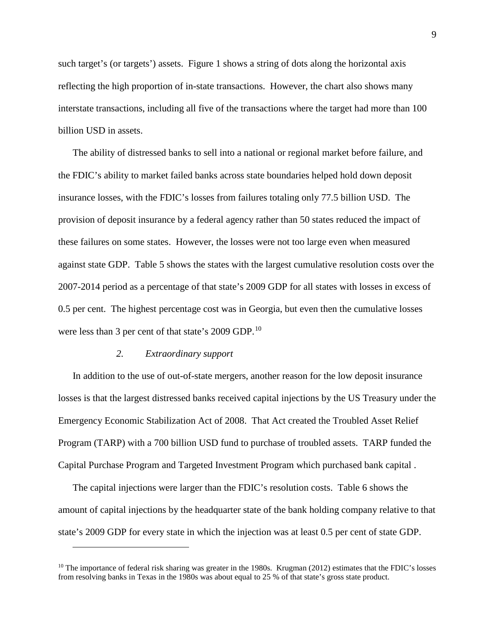such target's (or targets') assets. Figure 1 shows a string of dots along the horizontal axis reflecting the high proportion of in-state transactions. However, the chart also shows many interstate transactions, including all five of the transactions where the target had more than 100 billion USD in assets.

The ability of distressed banks to sell into a national or regional market before failure, and the FDIC's ability to market failed banks across state boundaries helped hold down deposit insurance losses, with the FDIC's losses from failures totaling only 77.5 billion USD. The provision of deposit insurance by a federal agency rather than 50 states reduced the impact of these failures on some states. However, the losses were not too large even when measured against state GDP. Table 5 shows the states with the largest cumulative resolution costs over the 2007-2014 period as a percentage of that state's 2009 GDP for all states with losses in excess of 0.5 per cent. The highest percentage cost was in Georgia, but even then the cumulative losses were less than 3 per cent of that state's 2009 GDP.<sup>[10](#page-9-0)</sup>

### *2. Extraordinary support*

 $\overline{a}$ 

In addition to the use of out-of-state mergers, another reason for the low deposit insurance losses is that the largest distressed banks received capital injections by the US Treasury under the Emergency Economic Stabilization Act of 2008. That Act created the Troubled Asset Relief Program (TARP) with a 700 billion USD fund to purchase of troubled assets. TARP funded the Capital Purchase Program and Targeted Investment Program which purchased bank capital .

The capital injections were larger than the FDIC's resolution costs. Table 6 shows the amount of capital injections by the headquarter state of the bank holding company relative to that state's 2009 GDP for every state in which the injection was at least 0.5 per cent of state GDP.

<span id="page-9-0"></span> $10$  The importance of federal risk sharing was greater in the 1980s. Krugman (2012) estimates that the FDIC's losses from resolving banks in Texas in the 1980s was about equal to 25 % of that state's gross state product.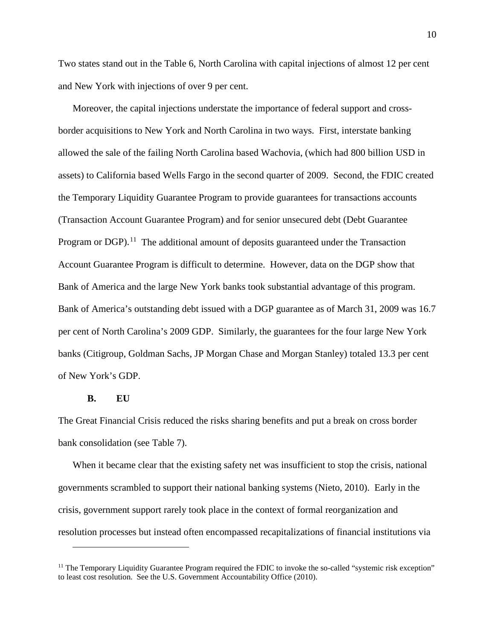Two states stand out in the Table 6, North Carolina with capital injections of almost 12 per cent and New York with injections of over 9 per cent.

Moreover, the capital injections understate the importance of federal support and crossborder acquisitions to New York and North Carolina in two ways. First, interstate banking allowed the sale of the failing North Carolina based Wachovia, (which had 800 billion USD in assets) to California based Wells Fargo in the second quarter of 2009. Second, the FDIC created the Temporary Liquidity Guarantee Program to provide guarantees for transactions accounts (Transaction Account Guarantee Program) and for senior unsecured debt (Debt Guarantee Program or  $DGP$ <sup>11</sup>. The additional amount of deposits guaranteed under the Transaction Account Guarantee Program is difficult to determine. However, data on the DGP show that Bank of America and the large New York banks took substantial advantage of this program. Bank of America's outstanding debt issued with a DGP guarantee as of March 31, 2009 was 16.7 per cent of North Carolina's 2009 GDP. Similarly, the guarantees for the four large New York banks (Citigroup, Goldman Sachs, JP Morgan Chase and Morgan Stanley) totaled 13.3 per cent of New York's GDP.

### **B. EU**

 $\overline{a}$ 

The Great Financial Crisis reduced the risks sharing benefits and put a break on cross border bank consolidation (see Table 7).

When it became clear that the existing safety net was insufficient to stop the crisis, national governments scrambled to support their national banking systems (Nieto, 2010). Early in the crisis, government support rarely took place in the context of formal reorganization and resolution processes but instead often encompassed recapitalizations of financial institutions via

<span id="page-10-0"></span> $<sup>11</sup>$  The Temporary Liquidity Guarantee Program required the FDIC to invoke the so-called "systemic risk exception"</sup> to least cost resolution. See the U.S. Government Accountability Office (2010).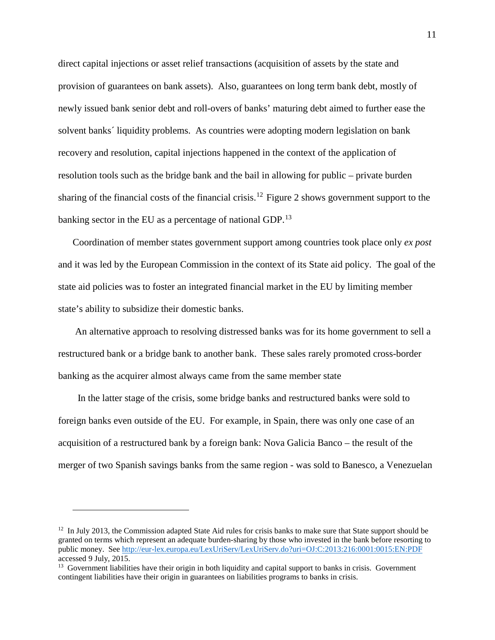direct capital injections or asset relief transactions (acquisition of assets by the state and provision of guarantees on bank assets). Also, guarantees on long term bank debt, mostly of newly issued bank senior debt and roll-overs of banks' maturing debt aimed to further ease the solvent banks´ liquidity problems. As countries were adopting modern legislation on bank recovery and resolution, capital injections happened in the context of the application of resolution tools such as the bridge bank and the bail in allowing for public – private burden sharing of the financial costs of the financial crisis.<sup>[12](#page-11-0)</sup> Figure 2 shows government support to the banking sector in the EU as a percentage of national GDP.<sup>[13](#page-11-1)</sup>

Coordination of member states government support among countries took place only *ex post* and it was led by the European Commission in the context of its State aid policy. The goal of the state aid policies was to foster an integrated financial market in the EU by limiting member state's ability to subsidize their domestic banks.

An alternative approach to resolving distressed banks was for its home government to sell a restructured bank or a bridge bank to another bank. These sales rarely promoted cross-border banking as the acquirer almost always came from the same member state

 In the latter stage of the crisis, some bridge banks and restructured banks were sold to foreign banks even outside of the EU. For example, in Spain, there was only one case of an acquisition of a restructured bank by a foreign bank: Nova Galicia Banco – the result of the merger of two Spanish savings banks from the same region - was sold to Banesco, a Venezuelan

<span id="page-11-0"></span> $12$  In July 2013, the Commission adapted State Aid rules for crisis banks to make sure that State support should be granted on terms which represent an adequate burden-sharing by those who invested in the bank before resorting to public money. See<http://eur-lex.europa.eu/LexUriServ/LexUriServ.do?uri=OJ:C:2013:216:0001:0015:EN:PDF> accessed 9 July, 2015.

<span id="page-11-1"></span><sup>&</sup>lt;sup>13</sup> Government liabilities have their origin in both liquidity and capital support to banks in crisis. Government contingent liabilities have their origin in guarantees on liabilities programs to banks in crisis.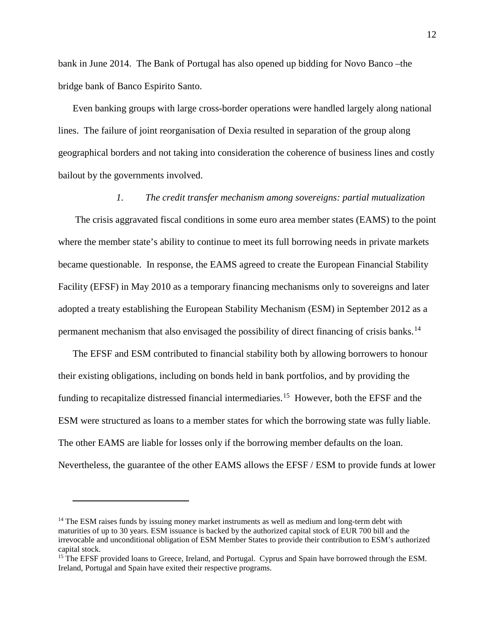bank in June 2014. The Bank of Portugal has also opened up bidding for Novo Banco –the bridge bank of Banco Espirito Santo.

Even banking groups with large cross-border operations were handled largely along national lines. The failure of joint reorganisation of Dexia resulted in separation of the group along geographical borders and not taking into consideration the coherence of business lines and costly bailout by the governments involved.

### *1. The credit transfer mechanism among sovereigns: partial mutualization*

The crisis aggravated fiscal conditions in some euro area member states (EAMS) to the point where the member state's ability to continue to meet its full borrowing needs in private markets became questionable. In response, the EAMS agreed to create the European Financial Stability Facility (EFSF) in May 2010 as a temporary financing mechanisms only to sovereigns and later adopted a treaty establishing the European Stability Mechanism (ESM) in September 2012 as a permanent mechanism that also envisaged the possibility of direct financing of crisis banks.<sup>14</sup>

The EFSF and ESM contributed to financial stability both by allowing borrowers to honour their existing obligations, including on bonds held in bank portfolios, and by providing the funding to recapitalize distressed financial intermediaries.<sup>15</sup> However, both the EFSF and the ESM were structured as loans to a member states for which the borrowing state was fully liable. The other EAMS are liable for losses only if the borrowing member defaults on the loan. Nevertheless, the guarantee of the other EAMS allows the EFSF / ESM to provide funds at lower

<span id="page-12-0"></span><sup>&</sup>lt;sup>14</sup> The ESM raises funds by issuing money market instruments as well as medium and long-term debt with maturities of up to 30 years. ESM issuance is backed by the authorized capital stock of EUR 700 bill and the irrevocable and unconditional obligation of ESM Member States to provide their contribution to ESM's authorized capital stock.

<span id="page-12-1"></span><sup>&</sup>lt;sup>15</sup> The EFSF provided loans to Greece, Ireland, and Portugal. Cyprus and Spain have borrowed through the ESM. Ireland, Portugal and Spain have exited their respective programs.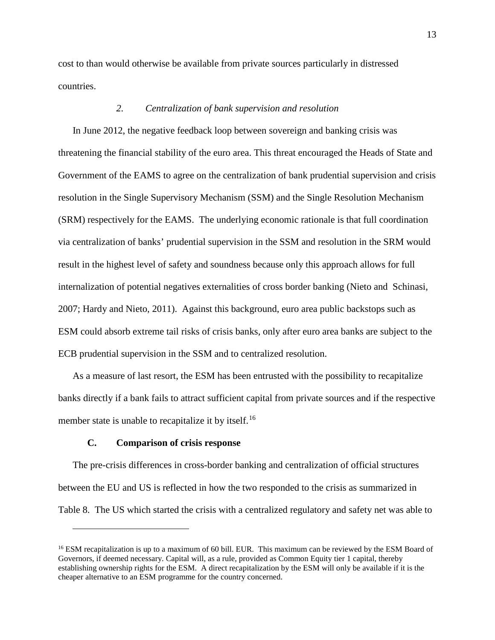cost to than would otherwise be available from private sources particularly in distressed countries.

### *2. Centralization of bank supervision and resolution*

In June 2012, the negative feedback loop between sovereign and banking crisis was threatening the financial stability of the euro area. This threat encouraged the Heads of State and Government of the EAMS to agree on the centralization of bank prudential supervision and crisis resolution in the Single Supervisory Mechanism (SSM) and the Single Resolution Mechanism (SRM) respectively for the EAMS. The underlying economic rationale is that full coordination via centralization of banks' prudential supervision in the SSM and resolution in the SRM would result in the highest level of safety and soundness because only this approach allows for full internalization of potential negatives externalities of cross border banking (Nieto and Schinasi, 2007; Hardy and Nieto, 2011). Against this background, euro area public backstops such as ESM could absorb extreme tail risks of crisis banks, only after euro area banks are subject to the ECB prudential supervision in the SSM and to centralized resolution.

As a measure of last resort, the ESM has been entrusted with the possibility to recapitalize banks directly if a bank fails to attract sufficient capital from private sources and if the respective member state is unable to recapitalize it by itself.<sup>[16](#page-13-0)</sup>

### **C. Comparison of crisis response**

 $\overline{a}$ 

The pre-crisis differences in cross-border banking and centralization of official structures between the EU and US is reflected in how the two responded to the crisis as summarized in Table 8. The US which started the crisis with a centralized regulatory and safety net was able to

<span id="page-13-0"></span><sup>&</sup>lt;sup>16</sup> ESM recapitalization is up to a maximum of 60 bill. EUR. This maximum can be reviewed by the ESM Board of Governors, if deemed necessary. Capital will, as a rule, provided as Common Equity tier 1 capital, thereby establishing ownership rights for the ESM. A direct recapitalization by the ESM will only be available if it is the cheaper alternative to an ESM programme for the country concerned.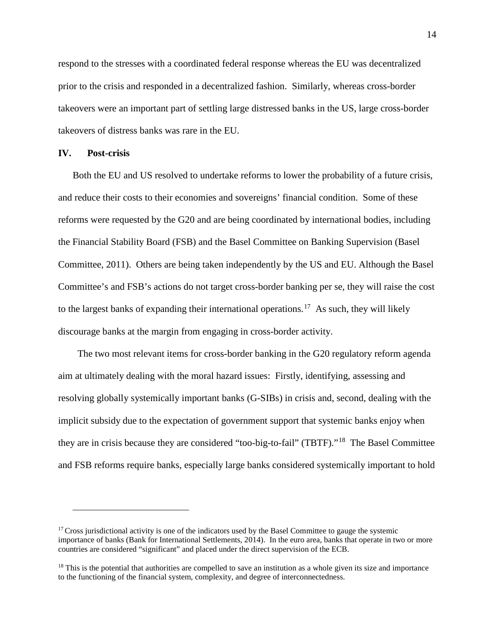respond to the stresses with a coordinated federal response whereas the EU was decentralized prior to the crisis and responded in a decentralized fashion. Similarly, whereas cross-border takeovers were an important part of settling large distressed banks in the US, large cross-border takeovers of distress banks was rare in the EU.

### **IV. Post-crisis**

 $\overline{a}$ 

Both the EU and US resolved to undertake reforms to lower the probability of a future crisis, and reduce their costs to their economies and sovereigns' financial condition. Some of these reforms were requested by the G20 and are being coordinated by international bodies, including the Financial Stability Board (FSB) and the Basel Committee on Banking Supervision (Basel Committee, 2011). Others are being taken independently by the US and EU. Although the Basel Committee's and FSB's actions do not target cross-border banking per se, they will raise the cost to the largest banks of expanding their international operations.<sup>[17](#page-14-0)</sup> As such, they will likely discourage banks at the margin from engaging in cross-border activity.

 The two most relevant items for cross-border banking in the G20 regulatory reform agenda aim at ultimately dealing with the moral hazard issues: Firstly, identifying, assessing and resolving globally systemically important banks (G-SIBs) in crisis and, second, dealing with the implicit subsidy due to the expectation of government support that systemic banks enjoy when they are in crisis because they are considered "too-big-to-fail" (TBTF)."[18](#page-14-1) The Basel Committee and FSB reforms require banks, especially large banks considered systemically important to hold

<span id="page-14-0"></span> $17$  Cross jurisdictional activity is one of the indicators used by the Basel Committee to gauge the systemic importance of banks (Bank for International Settlements, 2014). In the euro area, banks that operate in two or more countries are considered "significant" and placed under the direct supervision of the ECB.

<span id="page-14-1"></span> $18$  This is the potential that authorities are compelled to save an institution as a whole given its size and importance to the functioning of the financial system, complexity, and degree of interconnectedness.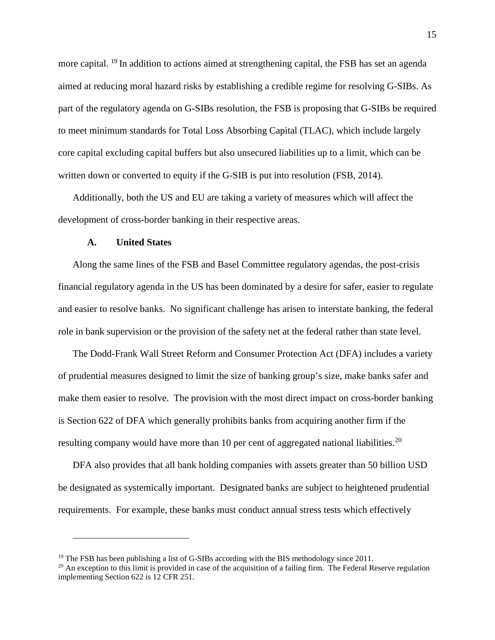more capital. <sup>[19](#page-15-0)</sup> In addition to actions aimed at strengthening capital, the FSB has set an agenda aimed at reducing moral hazard risks by establishing a credible regime for resolving G-SIBs. As part of the regulatory agenda on G-SIBs resolution, the FSB is proposing that G-SIBs be required to meet minimum standards for Total Loss Absorbing Capital (TLAC), which include largely core capital excluding capital buffers but also unsecured liabilities up to a limit, which can be written down or converted to equity if the G-SIB is put into resolution (FSB, 2014).

Additionally, both the US and EU are taking a variety of measures which will affect the development of cross-border banking in their respective areas.

#### **A. United States**

 $\overline{a}$ 

Along the same lines of the FSB and Basel Committee regulatory agendas, the post-crisis financial regulatory agenda in the US has been dominated by a desire for safer, easier to regulate and easier to resolve banks. No significant challenge has arisen to interstate banking, the federal role in bank supervision or the provision of the safety net at the federal rather than state level.

The Dodd-Frank Wall Street Reform and Consumer Protection Act (DFA) includes a variety of prudential measures designed to limit the size of banking group's size, make banks safer and make them easier to resolve. The provision with the most direct impact on cross-border banking is Section 622 of DFA which generally prohibits banks from acquiring another firm if the resulting company would have more than 10 per cent of aggregated national liabilities.<sup>[20](#page-15-1)</sup>

DFA also provides that all bank holding companies with assets greater than 50 billion USD be designated as systemically important. Designated banks are subject to heightened prudential requirements. For example, these banks must conduct annual stress tests which effectively

<span id="page-15-0"></span><sup>&</sup>lt;sup>19</sup> The FSB has been publishing a list of G-SIBs according with the BIS methodology since 2011.

<span id="page-15-1"></span> $^{20}$  An exception to this limit is provided in case of the acquisition of a failing firm. The Federal Reserve regulation implementing Section 622 is 12 CFR 251.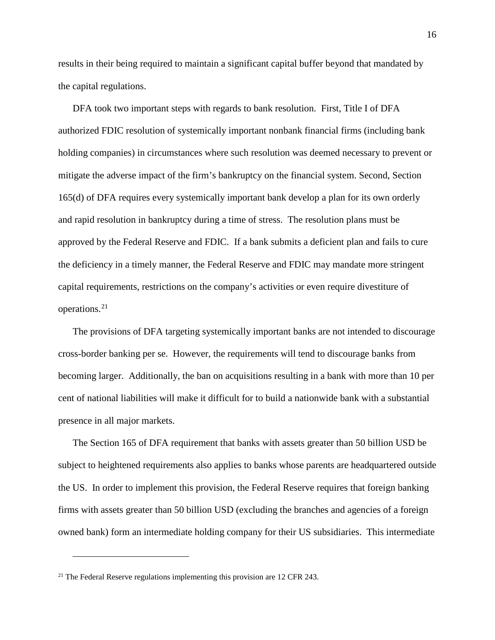results in their being required to maintain a significant capital buffer beyond that mandated by the capital regulations.

DFA took two important steps with regards to bank resolution. First, Title I of DFA authorized FDIC resolution of systemically important nonbank financial firms (including bank holding companies) in circumstances where such resolution was deemed necessary to prevent or mitigate the adverse impact of the firm's bankruptcy on the financial system. Second, Section 165(d) of DFA requires every systemically important bank develop a plan for its own orderly and rapid resolution in bankruptcy during a time of stress. The resolution plans must be approved by the Federal Reserve and FDIC. If a bank submits a deficient plan and fails to cure the deficiency in a timely manner, the Federal Reserve and FDIC may mandate more stringent capital requirements, restrictions on the company's activities or even require divestiture of operations.[21](#page-16-0)

The provisions of DFA targeting systemically important banks are not intended to discourage cross-border banking per se. However, the requirements will tend to discourage banks from becoming larger. Additionally, the ban on acquisitions resulting in a bank with more than 10 per cent of national liabilities will make it difficult for to build a nationwide bank with a substantial presence in all major markets.

The Section 165 of DFA requirement that banks with assets greater than 50 billion USD be subject to heightened requirements also applies to banks whose parents are headquartered outside the US. In order to implement this provision, the Federal Reserve requires that foreign banking firms with assets greater than 50 billion USD (excluding the branches and agencies of a foreign owned bank) form an intermediate holding company for their US subsidiaries. This intermediate

<span id="page-16-0"></span><sup>&</sup>lt;sup>21</sup> The Federal Reserve regulations implementing this provision are 12 CFR 243.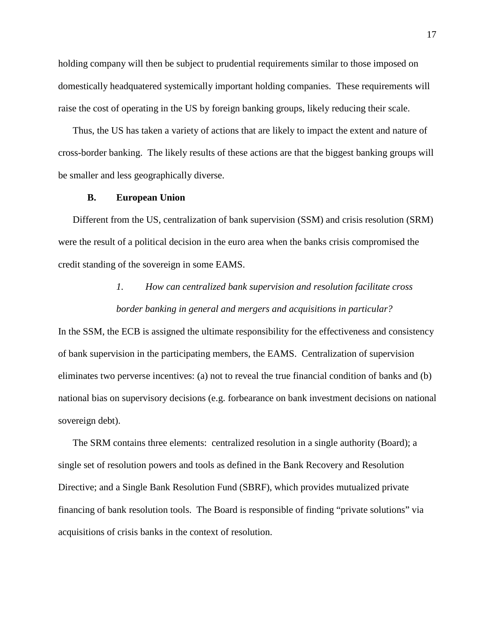holding company will then be subject to prudential requirements similar to those imposed on domestically headquatered systemically important holding companies. These requirements will raise the cost of operating in the US by foreign banking groups, likely reducing their scale.

Thus, the US has taken a variety of actions that are likely to impact the extent and nature of cross-border banking. The likely results of these actions are that the biggest banking groups will be smaller and less geographically diverse.

#### **B. European Union**

Different from the US, centralization of bank supervision (SSM) and crisis resolution (SRM) were the result of a political decision in the euro area when the banks crisis compromised the credit standing of the sovereign in some EAMS.

### *1. How can centralized bank supervision and resolution facilitate cross*

#### *border banking in general and mergers and acquisitions in particular?*

In the SSM, the ECB is assigned the ultimate responsibility for the effectiveness and consistency of bank supervision in the participating members, the EAMS. Centralization of supervision eliminates two perverse incentives: (a) not to reveal the true financial condition of banks and (b) national bias on supervisory decisions (e.g. forbearance on bank investment decisions on national sovereign debt).

The SRM contains three elements: centralized resolution in a single authority (Board); a single set of resolution powers and tools as defined in the Bank Recovery and Resolution Directive; and a Single Bank Resolution Fund (SBRF), which provides mutualized private financing of bank resolution tools. The Board is responsible of finding "private solutions" via acquisitions of crisis banks in the context of resolution.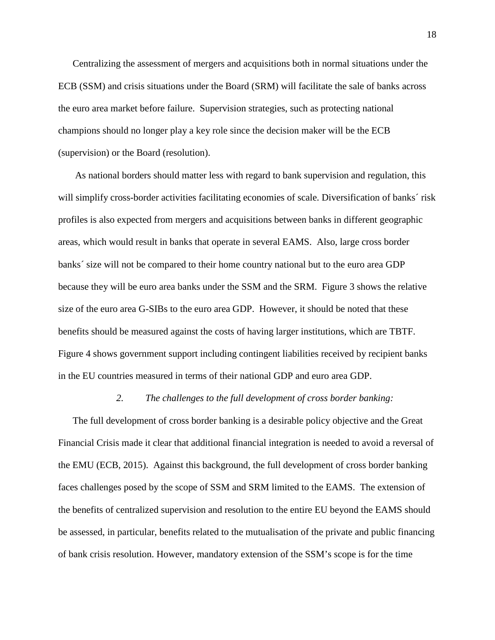Centralizing the assessment of mergers and acquisitions both in normal situations under the ECB (SSM) and crisis situations under the Board (SRM) will facilitate the sale of banks across the euro area market before failure. Supervision strategies, such as protecting national champions should no longer play a key role since the decision maker will be the ECB (supervision) or the Board (resolution).

As national borders should matter less with regard to bank supervision and regulation, this will simplify cross-border activities facilitating economies of scale. Diversification of banks´ risk profiles is also expected from mergers and acquisitions between banks in different geographic areas, which would result in banks that operate in several EAMS. Also, large cross border banks´ size will not be compared to their home country national but to the euro area GDP because they will be euro area banks under the SSM and the SRM. Figure 3 shows the relative size of the euro area G-SIBs to the euro area GDP. However, it should be noted that these benefits should be measured against the costs of having larger institutions, which are TBTF. Figure 4 shows government support including contingent liabilities received by recipient banks in the EU countries measured in terms of their national GDP and euro area GDP.

#### *2. The challenges to the full development of cross border banking:*

The full development of cross border banking is a desirable policy objective and the Great Financial Crisis made it clear that additional financial integration is needed to avoid a reversal of the EMU (ECB, 2015). Against this background, the full development of cross border banking faces challenges posed by the scope of SSM and SRM limited to the EAMS. The extension of the benefits of centralized supervision and resolution to the entire EU beyond the EAMS should be assessed, in particular, benefits related to the mutualisation of the private and public financing of bank crisis resolution. However, mandatory extension of the SSM's scope is for the time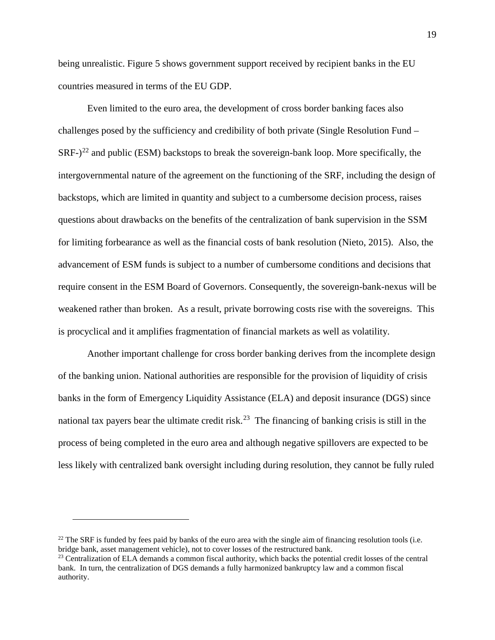being unrealistic. Figure 5 shows government support received by recipient banks in the EU countries measured in terms of the EU GDP.

Even limited to the euro area, the development of cross border banking faces also challenges posed by the sufficiency and credibility of both private (Single Resolution Fund –  $SRF-)$ <sup>[22](#page-19-0)</sup> and public (ESM) backstops to break the sovereign-bank loop. More specifically, the intergovernmental nature of the agreement on the functioning of the SRF, including the design of backstops, which are limited in quantity and subject to a cumbersome decision process, raises questions about drawbacks on the benefits of the centralization of bank supervision in the SSM for limiting forbearance as well as the financial costs of bank resolution (Nieto, 2015). Also, the advancement of ESM funds is subject to a number of cumbersome conditions and decisions that require consent in the ESM Board of Governors. Consequently, the sovereign-bank-nexus will be weakened rather than broken. As a result, private borrowing costs rise with the sovereigns. This is procyclical and it amplifies fragmentation of financial markets as well as volatility.

Another important challenge for cross border banking derives from the incomplete design of the banking union. National authorities are responsible for the provision of liquidity of crisis banks in the form of Emergency Liquidity Assistance (ELA) and deposit insurance (DGS) since national tax payers bear the ultimate credit risk.<sup>[23](#page-19-1)</sup> The financing of banking crisis is still in the process of being completed in the euro area and although negative spillovers are expected to be less likely with centralized bank oversight including during resolution, they cannot be fully ruled

<span id="page-19-0"></span><sup>&</sup>lt;sup>22</sup> The SRF is funded by fees paid by banks of the euro area with the single aim of financing resolution tools (i.e. bridge bank, asset management vehicle), not to cover losses of the restructured bank.

<span id="page-19-1"></span><sup>&</sup>lt;sup>23</sup> Centralization of ELA demands a common fiscal authority, which backs the potential credit losses of the central bank. In turn, the centralization of DGS demands a fully harmonized bankruptcy law and a common fiscal authority.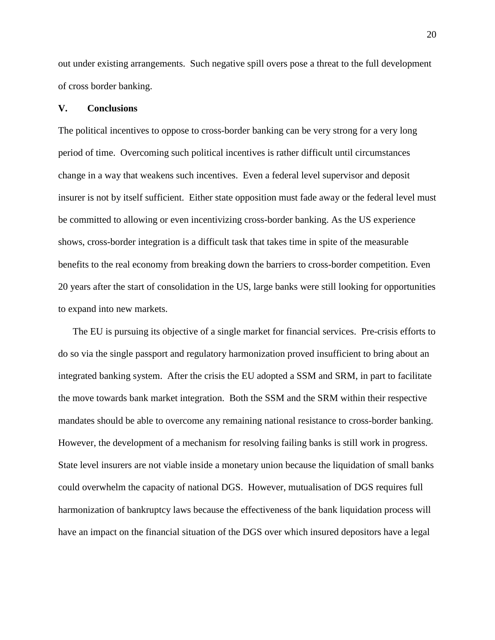out under existing arrangements. Such negative spill overs pose a threat to the full development of cross border banking.

### **V. Conclusions**

The political incentives to oppose to cross-border banking can be very strong for a very long period of time. Overcoming such political incentives is rather difficult until circumstances change in a way that weakens such incentives. Even a federal level supervisor and deposit insurer is not by itself sufficient. Either state opposition must fade away or the federal level must be committed to allowing or even incentivizing cross-border banking. As the US experience shows, cross-border integration is a difficult task that takes time in spite of the measurable benefits to the real economy from breaking down the barriers to cross-border competition. Even 20 years after the start of consolidation in the US, large banks were still looking for opportunities to expand into new markets.

The EU is pursuing its objective of a single market for financial services. Pre-crisis efforts to do so via the single passport and regulatory harmonization proved insufficient to bring about an integrated banking system. After the crisis the EU adopted a SSM and SRM, in part to facilitate the move towards bank market integration. Both the SSM and the SRM within their respective mandates should be able to overcome any remaining national resistance to cross-border banking. However, the development of a mechanism for resolving failing banks is still work in progress. State level insurers are not viable inside a monetary union because the liquidation of small banks could overwhelm the capacity of national DGS. However, mutualisation of DGS requires full harmonization of bankruptcy laws because the effectiveness of the bank liquidation process will have an impact on the financial situation of the DGS over which insured depositors have a legal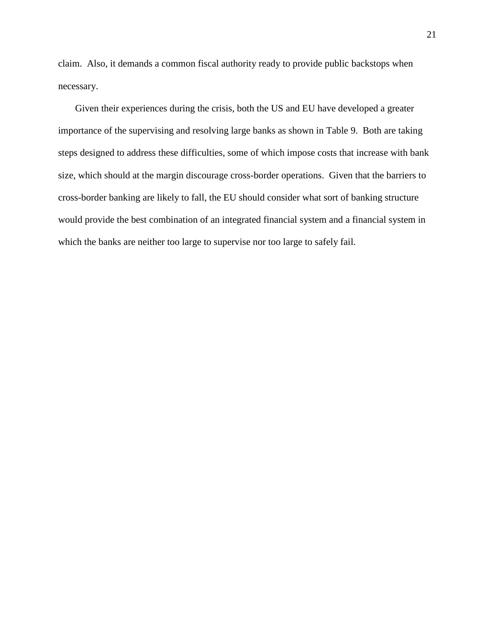claim. Also, it demands a common fiscal authority ready to provide public backstops when necessary.

Given their experiences during the crisis, both the US and EU have developed a greater importance of the supervising and resolving large banks as shown in Table 9. Both are taking steps designed to address these difficulties, some of which impose costs that increase with bank size, which should at the margin discourage cross-border operations. Given that the barriers to cross-border banking are likely to fall, the EU should consider what sort of banking structure would provide the best combination of an integrated financial system and a financial system in which the banks are neither too large to supervise nor too large to safely fail.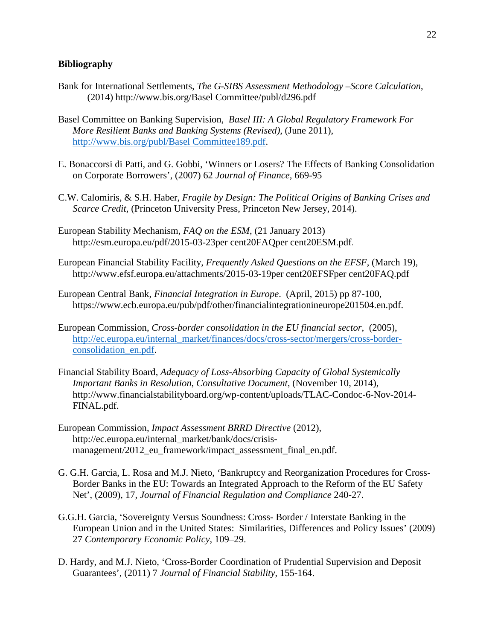### **Bibliography**

- Bank for International Settlements, *The G-SIBS Assessment Methodology –Score Calculation*, (2014) [http://www.bis.org/Basel Committee/publ/d296.pdf](http://www.bis.org/bcbs/publ/d296.pdf)
- Basel Committee on Banking Supervision, *Basel III: A Global Regulatory Framework For More Resilient Banks and Banking Systems (Revised)*, (June 2011), [http://www.bis.org/publ/Basel Committee189.pdf.](http://www.bis.org/publ/bcbs189.pdf)
- E. Bonaccorsi di Patti, and G. Gobbi, 'Winners or Losers? The Effects of Banking Consolidation on Corporate Borrowers', (2007) 62 *Journal of Finance,* 669-95
- C.W. Calomiris, & S.H. Haber, *Fragile by Design: The Political Origins of Banking Crises and Scarce Credit*, (Princeton University Press, Princeton New Jersey, 2014).
- European Stability Mechanism, *FAQ on the ESM*, (21 January 2013) [http://esm.europa.eu/pdf/2015-03-23per cent20FAQper cent20ESM.pdf](http://esm.europa.eu/pdf/2015-03-23%20FAQ%20ESM.pdf).
- European Financial Stability Facility, *Frequently Asked Questions on the EFSF*, (March 19), [http://www.efsf.europa.eu/attachments/2015-03-19per cent20EFSFper cent20FAQ.pdf](http://www.efsf.europa.eu/attachments/2015-03-19%20EFSF%20FAQ.pdf)
- European Central Bank, *Financial Integration in Europe*. (April, 2015) pp 87-100, https://www.ecb.europa.eu/pub/pdf/other/financialintegrationineurope201504.en.pdf.
- European Commission, *Cross-border consolidation in the EU financial sector,* (2005), [http://ec.europa.eu/internal\\_market/finances/docs/cross-sector/mergers/cross-border](http://ec.europa.eu/internal_market/finances/docs/cross-sector/mergers/cross-border-consolidation_en.pdf)[consolidation\\_en.pdf.](http://ec.europa.eu/internal_market/finances/docs/cross-sector/mergers/cross-border-consolidation_en.pdf)
- Financial Stability Board, *Adequacy of Loss-Absorbing Capacity of Global Systemically Important Banks in Resolution*, *Consultative Document*, (November 10, 2014), [http://www.financialstabilityboard.org/wp-content/uploads/TLAC-Condoc-6-Nov-2014-](http://www.financialstabilityboard.org/wp-content/uploads/TLAC-Condoc-6-Nov-2014-FINAL.pdf) [FINAL.pdf.](http://www.financialstabilityboard.org/wp-content/uploads/TLAC-Condoc-6-Nov-2014-FINAL.pdf)
- European Commission, *Impact Assessment BRRD Directive* (2012), http://ec.europa.eu/internal\_market/bank/docs/crisismanagement/2012\_eu\_framework/impact\_assessment\_final\_en.pdf.
- G. G.H. Garcia, L. Rosa and M.J. Nieto, 'Bankruptcy and Reorganization Procedures for Cross-Border Banks in the EU: Towards an Integrated Approach to the Reform of the EU Safety Net', (2009), 17, *Journal of Financial Regulation and Compliance* 240-27.
- G.G.H. Garcia, 'Sovereignty Versus Soundness: Cross- Border / Interstate Banking in the European Union and in the United States: Similarities, Differences and Policy Issues' (2009) 27 *Contemporary Economic Policy*, 109–29.
- D. Hardy, and M.J. Nieto, 'Cross-Border Coordination of Prudential Supervision and Deposit Guarantees', (2011) 7 *Journal of Financial Stability*, 155-164.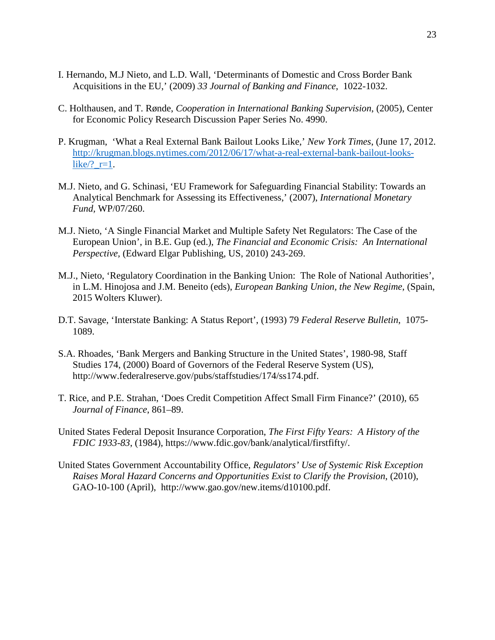- I. Hernando, M.J Nieto, and L.D. Wall, 'Determinants of Domestic and Cross Border Bank Acquisitions in the EU,' (2009) *33 Journal of Banking and Finance*, 1022-1032.
- C. Holthausen, and T. Rønde, *Cooperation in International Banking Supervision*, (2005), Center for Economic Policy Research Discussion Paper Series No. 4990.
- P. Krugman, 'What a Real External Bank Bailout Looks Like,' *New York Times*, (June 17, 2012. [http://krugman.blogs.nytimes.com/2012/06/17/what-a-real-external-bank-bailout-looks](http://krugman.blogs.nytimes.com/2012/06/17/what-a-real-external-bank-bailout-looks-like/?_r=1)like $/$ ?  $r=1$ .
- M.J. Nieto, and G. Schinasi, 'EU Framework for Safeguarding Financial Stability: Towards an Analytical Benchmark for Assessing its Effectiveness,' (2007), *International Monetary Fund,* WP/07/260.
- M.J. Nieto, 'A Single Financial Market and Multiple Safety Net Regulators: The Case of the European Union', in B.E. Gup (ed.), *The Financial and Economic Crisis: An International Perspective,* (Edward Elgar Publishing, US, 2010) 243-269.
- M.J., Nieto, 'Regulatory Coordination in the Banking Union: The Role of National Authorities', in L.M. Hinojosa and J.M. Beneito (eds), *European Banking Union, the New Regime*, (Spain, 2015 Wolters Kluwer).
- D.T. Savage, 'Interstate Banking: A Status Report', (1993) 79 *Federal Reserve Bulletin*, 1075- 1089.
- S.A. Rhoades, 'Bank Mergers and Banking Structure in the United States', 1980-98, Staff Studies 174, (2000) Board of Governors of the Federal Reserve System (US), http://www.federalreserve.gov/pubs/staffstudies/174/ss174.pdf.
- T. Rice, and P.E. Strahan, 'Does Credit Competition Affect Small Firm Finance?' (2010), 65 *Journal of Finance*, 861–89.
- United States Federal Deposit Insurance Corporation, *The First Fifty Years: A History of the FDIC 1933-83*, (1984), [https://www.fdic.gov/bank/analytical/firstfifty/.](https://www.fdic.gov/bank/analytical/firstfifty/)
- United States Government Accountability Office, *Regulators' Use of Systemic Risk Exception Raises Moral Hazard Concerns and Opportunities Exist to Clarify the Provision*, (2010), GAO-10-100 (April), http://www.gao.gov/new.items/d10100.pdf.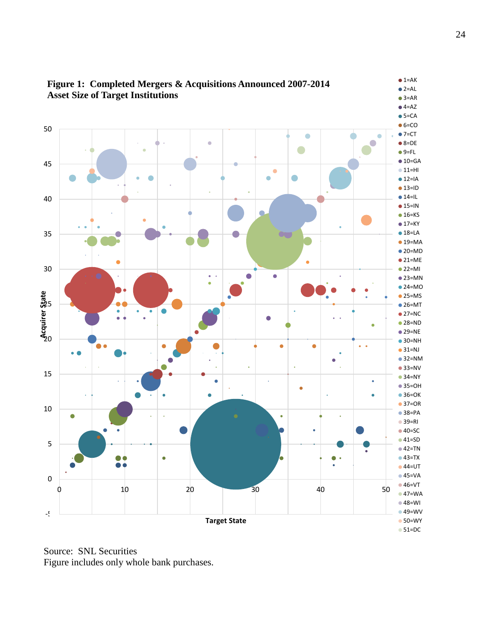

**Figure 1: Completed Mergers & Acquisitions Announced 2007-2014**

Source: SNL Securities Figure includes only whole bank purchases.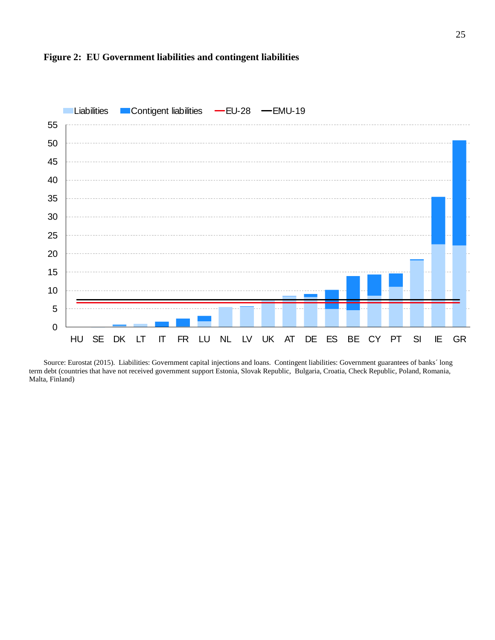

### **Figure 2: EU Government liabilities and contingent liabilities**

Source: Eurostat (2015). Liabilities: Government capital injections and loans. Contingent liabilities: Government guarantees of banks´ long term debt (countries that have not received government support Estonia, Slovak Republic, Bulgaria, Croatia, Check Republic, Poland, Romania, Malta, Finland)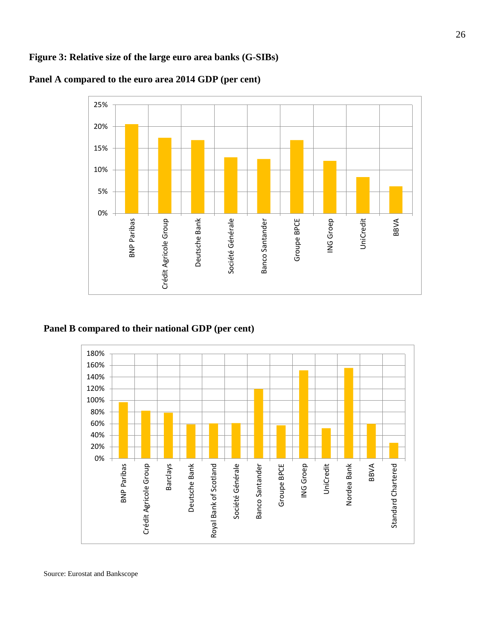### **Figure 3: Relative size of the large euro area banks (G-SIBs)**



### **Panel A compared to the euro area 2014 GDP (per cent)**

### **Panel B compared to their national GDP (per cent)**



Source: Eurostat and Bankscope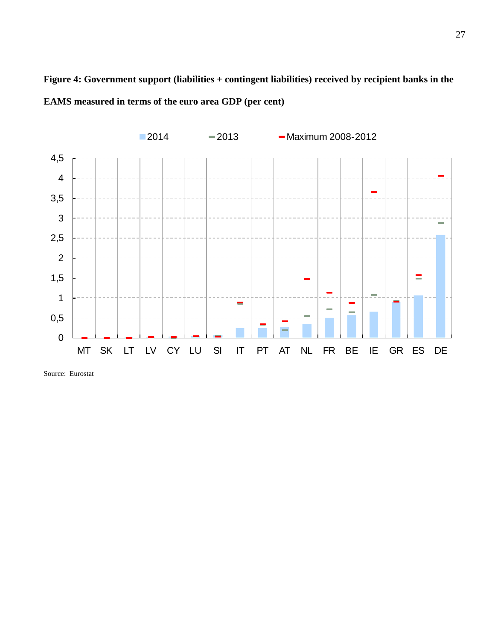**Figure 4: Government support (liabilities + contingent liabilities) received by recipient banks in the EAMS measured in terms of the euro area GDP (per cent)**



Source: Eurostat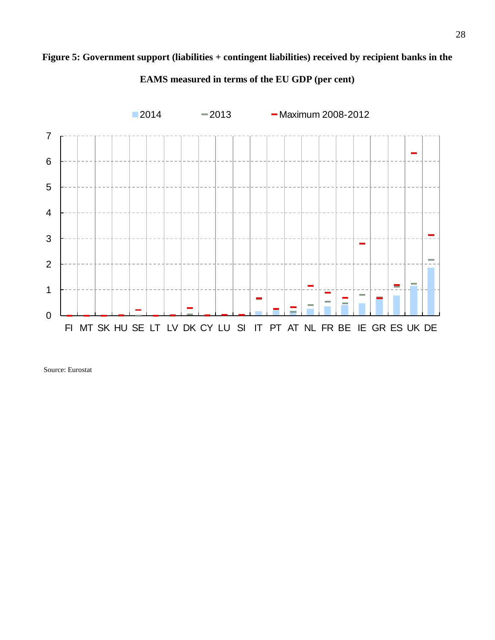## **Figure 5: Government support (liabilities + contingent liabilities) received by recipient banks in the**



**EAMS measured in terms of the EU GDP (per cent)**

Source: Eurostat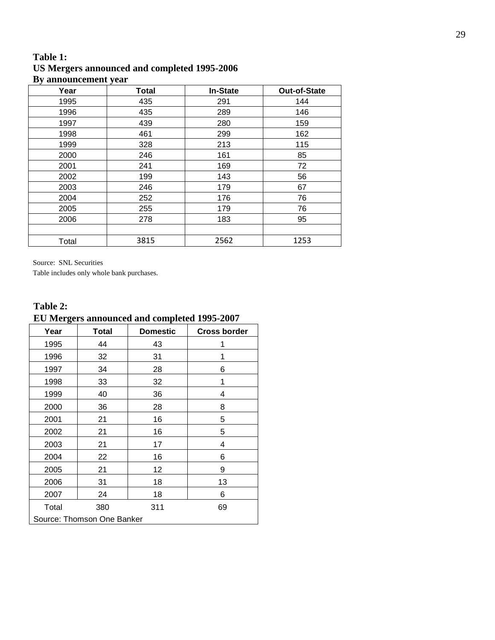### **Table 1: US Mergers announced and completed 1995-2006 By announcement year**

| Year  | Total | <b>In-State</b> | <b>Out-of-State</b> |
|-------|-------|-----------------|---------------------|
| 1995  | 435   | 291             | 144                 |
| 1996  | 435   | 289             | 146                 |
| 1997  | 439   | 280             | 159                 |
| 1998  | 461   | 299             | 162                 |
| 1999  | 328   | 213             | 115                 |
| 2000  | 246   | 161             | 85                  |
| 2001  | 241   | 169             | 72                  |
| 2002  | 199   | 143             | 56                  |
| 2003  | 246   | 179             | 67                  |
| 2004  | 252   | 176             | 76                  |
| 2005  | 255   | 179             | 76                  |
| 2006  | 278   | 183             | 95                  |
|       |       |                 |                     |
| Total | 3815  | 2562            | 1253                |

Source: SNL Securities

Table includes only whole bank purchases.

### **Table 2:**

# **EU Mergers announced and completed 1995-2007**

| Year                       | <b>Total</b> | <b>Domestic</b> | <b>Cross border</b> |  |
|----------------------------|--------------|-----------------|---------------------|--|
| 1995                       | 44           | 43              |                     |  |
| 1996                       | 32           | 31              | 1                   |  |
| 1997                       | 34           | 28              | 6                   |  |
| 1998                       | 33           | 32              | 1                   |  |
| 1999                       | 40           | 36              | 4                   |  |
| 2000                       | 36           | 28              | 8                   |  |
| 2001                       | 21           | 16              | 5                   |  |
| 2002                       | 21           | 16              | 5                   |  |
| 2003                       | 21           | 17              | 4                   |  |
| 2004                       | 22           | 16              | 6                   |  |
| 2005                       | 21           | 12              | 9                   |  |
| 2006                       | 31           | 18              | 13                  |  |
| 2007                       | 24           | 18              | 6                   |  |
| Total                      | 380          | 311             | 69                  |  |
| Source: Thomson One Banker |              |                 |                     |  |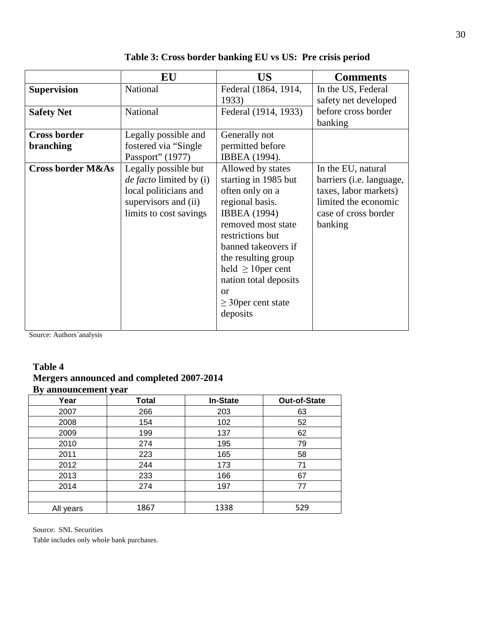|                                  | EU                                                                                                                         | <b>US</b>                                                                                                                                                                                                                                                                                        | <b>Comments</b>                                                                                                                            |
|----------------------------------|----------------------------------------------------------------------------------------------------------------------------|--------------------------------------------------------------------------------------------------------------------------------------------------------------------------------------------------------------------------------------------------------------------------------------------------|--------------------------------------------------------------------------------------------------------------------------------------------|
| <b>Supervision</b>               | National                                                                                                                   | Federal (1864, 1914,<br>1933)                                                                                                                                                                                                                                                                    | In the US, Federal<br>safety net developed                                                                                                 |
| <b>Safety Net</b>                | National                                                                                                                   | Federal (1914, 1933)                                                                                                                                                                                                                                                                             | before cross border<br>banking                                                                                                             |
| <b>Cross border</b><br>branching | Legally possible and<br>fostered via "Single"<br>Passport" (1977)                                                          | Generally not<br>permitted before<br>IBBEA (1994).                                                                                                                                                                                                                                               |                                                                                                                                            |
| <b>Cross border M&amp;As</b>     | Legally possible but<br>de facto limited by (i)<br>local politicians and<br>supervisors and (ii)<br>limits to cost savings | Allowed by states<br>starting in 1985 but<br>often only on a<br>regional basis.<br><b>IBBEA</b> (1994)<br>removed most state<br>restrictions but<br>banned takeovers if<br>the resulting group<br>held $\geq 10$ per cent<br>nation total deposits<br>or<br>$\geq$ 30 per cent state<br>deposits | In the EU, natural<br>barriers ( <i>i.e.</i> language,<br>taxes, labor markets)<br>limited the economic<br>case of cross border<br>banking |

**Table 3: Cross border banking EU vs US: Pre crisis period**

Source: Authors´analysis

### **Table 4 Mergers announced and completed 2007-2014 By announcement year**

| $\overline{\phantom{a}}$<br>Year | $\overline{\phantom{a}}$<br><b>Total</b> | <b>In-State</b> | Out-of-State |
|----------------------------------|------------------------------------------|-----------------|--------------|
| 2007                             | 266                                      | 203             | 63           |
| 2008                             | 154                                      | 102             | 52           |
| 2009                             | 199                                      | 137             | 62           |
| 2010                             | 274                                      | 195             | 79           |
| 2011                             | 223                                      | 165             | 58           |
| 2012                             | 244                                      | 173             | 71           |
| 2013                             | 233                                      | 166             | 67           |
| 2014                             | 274                                      | 197             | 77           |
|                                  |                                          |                 |              |
| All years                        | 1867                                     | 1338            | 529          |

Source: SNL Securities

Table includes only whole bank purchases.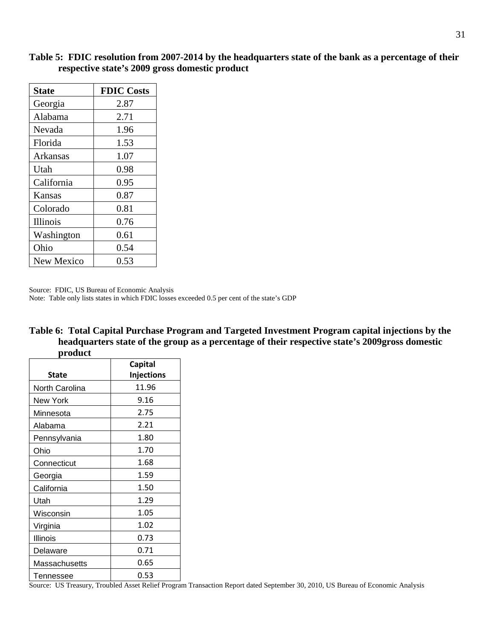|      | e headquarters |
|------|----------------|
| duct |                |
|      |                |
|      |                |
|      |                |
|      |                |

| <b>State</b>    | <b>FDIC Costs</b> |
|-----------------|-------------------|
| Georgia         | 2.87              |
| Alabama         | 2.71              |
| Nevada          | 1.96              |
| Florida         | 1.53              |
| Arkansas        | 1.07              |
| Utah            | 0.98              |
| California      | 0.95              |
| Kansas          | 0.87              |
| Colorado        | 0.81              |
| <b>Illinois</b> | 0.76              |
| Washington      | 0.61              |
| Ohio            | 0.54              |
| New Mexico      | 0.53              |

**Table 5: FDIC resolution from 2007-2014 by the headquarters state of the bank as a percentage of their**  respective state's 2009 gross domestic pro

Source: FDIC, US Bureau of Economic Analysis

Note: Table only lists states in which FDIC losses exceeded 0.5 per cent of the state's GDP

| Table 6: Total Capital Purchase Program and Targeted Investment Program capital injections by the |
|---------------------------------------------------------------------------------------------------|
| headquarters state of the group as a percentage of their respective state's 2009gross domestic    |
| product                                                                                           |

| prouuci        |                   |  |
|----------------|-------------------|--|
|                | <b>Capital</b>    |  |
| <b>State</b>   | <b>Injections</b> |  |
| North Carolina | 11.96             |  |
| New York       | 9.16              |  |
| Minnesota      | 2.75              |  |
| Alabama        | 2.21              |  |
| Pennsylvania   | 1.80              |  |
| Ohio           | 1.70              |  |
| Connecticut    | 1.68              |  |
| <u>Georgia</u> | 1.59              |  |
| California     | 1.50              |  |
| Utah           | 1.29              |  |
| Wisconsin      | 1.05              |  |
| Virginia       | 1.02              |  |
| Illinois       | 0.73              |  |
| Delaware       | 0.71              |  |
| Massachusetts  | 0.65              |  |
| Tennessee      | 0.53              |  |

Source: US Treasury, Troubled Asset Relief Program Transaction Report dated September 30, 2010, US Bureau of Economic Analysis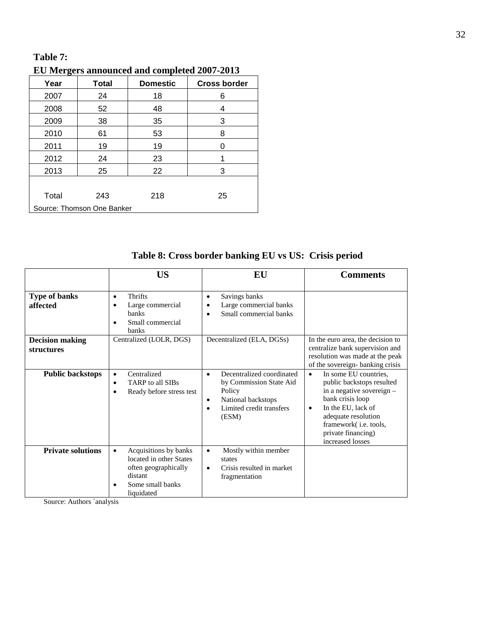## **Table 7:**

## **EU Mergers announced and completed 2007-2013**

| Year                       | <b>Total</b> | <b>Domestic</b> | <b>Cross border</b> |
|----------------------------|--------------|-----------------|---------------------|
| 2007                       | 24           | 18              | 6                   |
| 2008                       | 52           | 48              | 4                   |
| 2009                       | 38           | 35              | 3                   |
| 2010                       | 61           | 53              | 8                   |
| 2011                       | 19           | 19              | 0                   |
| 2012                       | 24           | 23              |                     |
| 2013                       | 25           | 22              | 3                   |
|                            |              |                 |                     |
| Total                      | 243          | 218             | 25                  |
| Source: Thomson One Banker |              |                 |                     |

# **Table 8: Cross border banking EU vs US: Crisis period**

|                                             | <b>US</b>                                                                                                                          | EU                                                                                                                                                               | Comments                                                                                                                                                                                                                                      |
|---------------------------------------------|------------------------------------------------------------------------------------------------------------------------------------|------------------------------------------------------------------------------------------------------------------------------------------------------------------|-----------------------------------------------------------------------------------------------------------------------------------------------------------------------------------------------------------------------------------------------|
| <b>Type of banks</b><br>affected            | Thrifts<br>$\bullet$<br>Large commercial<br><b>banks</b><br>Small commercial<br>$\bullet$<br>banks                                 | Savings banks<br>$\bullet$<br>Large commercial banks<br>٠<br>Small commercial banks<br>$\bullet$                                                                 |                                                                                                                                                                                                                                               |
| <b>Decision making</b><br><b>structures</b> | Centralized (LOLR, DGS)                                                                                                            | Decentralized (ELA, DGSs)                                                                                                                                        | In the euro area, the decision to<br>centralize bank supervision and<br>resolution was made at the peak<br>of the sovereign-banking crisis                                                                                                    |
| <b>Public backstops</b>                     | Centralized<br>$\bullet$<br>TARP to all SIBs<br>$\bullet$<br>Ready before stress test                                              | Decentralized coordinated<br>$\bullet$<br>by Commission State Aid<br>Policy<br>National backstops<br>$\bullet$<br>Limited credit transfers<br>$\bullet$<br>(ESM) | In some EU countries,<br>$\bullet$<br>public backstops resulted<br>in a negative sovereign -<br>bank crisis loop<br>In the EU, lack of<br>$\bullet$<br>adequate resolution<br>framework(i.e. tools,<br>private financing)<br>increased losses |
| <b>Private solutions</b>                    | Acquisitions by banks<br>$\bullet$<br>located in other States<br>often geographically<br>distant<br>Some small banks<br>liquidated | Mostly within member<br>$\bullet$<br>states<br>Crisis resulted in market<br>$\bullet$<br>fragmentation                                                           |                                                                                                                                                                                                                                               |

Source: Authors ´analysis